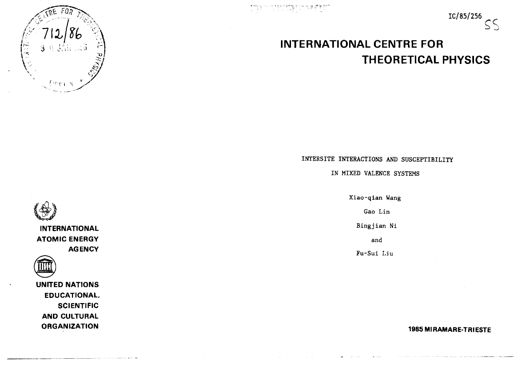



# **INTERNATIONAL CENTRE FOR THEORETICAL PHYSICS**

## INTERSITE INTERACTIONS AND SUSCEPTIBILITY

IN MIXED VALENCE SYSTEMS

Xiao-qian Wang

Gao Lin

Bingjian Ni

and

Fu-Sui Liu

**INTERNATIONAL ATOMIC ENERGY AGENCY** 



**UNITED NATIONS** EDUCATIONAL, **SCIENTIFIC AND CULTURAL ORGANIZATION** 

**1985 MIRAMARE-TRIESTE**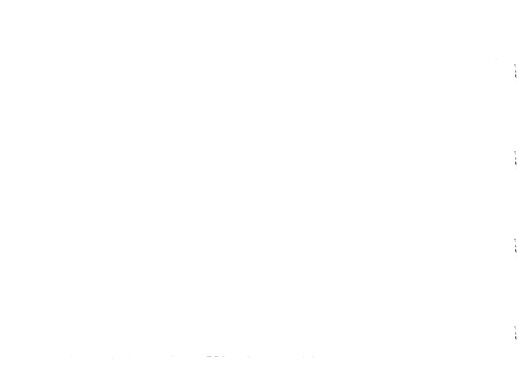A.

Å

A. Å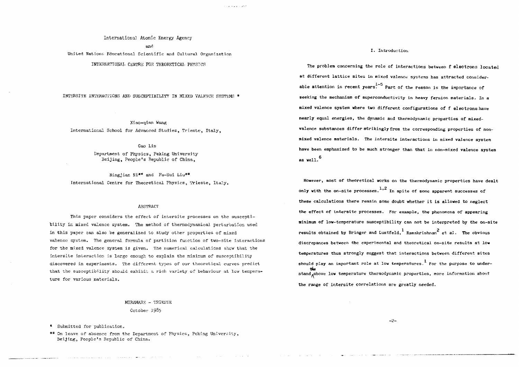Internationa] Atomic Energy Agency and United Nations Educational Scientific and Cultural, Organisation INTERNATIONAL CENTRE FOR THEORETICAL PHYSICS

INTERSITE INTERACTIONS AND SUSCEPTIBILITY IN MIXED VALENCE SYSTEMS \*

XiaO-qian Wang International School for Advanced Studies, Trieste, Italy,

Gao Lin

Department of Physics, Peking University-Beijing, People's Republic of China,

Bingjian Ni<sup>\*\*</sup> and Fu-Sui Liu\*\* International Centre for Theoretical Physics, Trieste, Italy.

#### ABSTRACT

This paper considers the effect of intersite processes on the susceptibility in mixed valence system. The method of thermodynamical perturbation used in this paper can also be generalized to study other properties of mixed valence system. The general formula of partition function of two-site interactions for the mixed valence system is given. The numerical calculations show that the intersite interaction is large enough to explain the minimum of susceptibility discovered in experiments. The different types of our theoretical curves predict that the susceptibility should exhibit a rich variety of behaviour at low temperature for various materials.

### MIRAMARE - TRIESTE October 1985

\* Submitted for publication,

\*\* On leave of absence from the Department of Physics, Peking University, Beijing, People's Republic of China.

#### I. Introduction

The problem concerning the role of interactions between f electrons located at different lattice sites in mixed valence systems has attracted considerable attention in recent years.  $1-5$  Part of the reason is the importance of seeking the mechanism of superconductivity in heavy fermion materials. In a mixed valence system where two different configurations of f electrons have nearly equal energies, the dynamic and thermodynamic properties of mixedvalence substances differ strikingly from the corresponding properties of nonmixed valence materials. The intersite interactions in mixed valence system have been emphasized to be much stronger than that in non-mixed valence system as well.

However, most of theoretical works on the thermodynamic properties have dealt only with the on-site processes.<sup>1,2</sup> In spite of some apparent successes of these calculations there remain some doubt whether it is allowed to neglect the effect of intersite processes. For example, the phenomena of appearing minimum of low-temperature susceptibility can not be interpreted by the on-site results obtained by Bringer and Lustfeld,  $\frac{1}{1}$  Ramakrishnan<sup>2</sup> et al. The obvious discrepances between the experimental and theoretical on-site results at low temperatures thus strongly suggest that interactions between different sites should play an important role at low temperatures.<sup>1</sup> For the purpose to understand, above low temperature thermodynamic properties, more information about the range of Intersite correlations are greatly needed.

-2-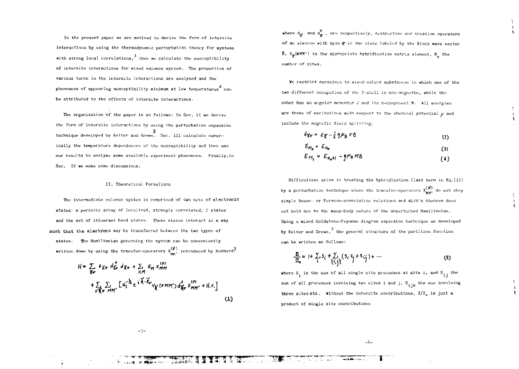In the present paper we are motived to derive the form of intersite interactions by using the thermodynamic perturbation theory for systems with strong local correlations,<sup>3</sup> then we calculate the susceptibility of intersite interactions for mixed valence system. The properties of various terms in the intersite interactions are analysed and the phenomena of appearing susceptibility minimum at low temperatures  $^4$  can be attributed to the effects of intersite interactions.

The organization of the paper is as follows: In Sec, II we derive the form of intersite interactions by using the perturbation expansion 3<br>technique developed by Keiter and Grewe. Sec. III calculate numerically the temperature dependences of the susceptibility and then use our results to analyse some available experiment phenomena. Finally, in Sec. IV we make some discussions.

#### II, Theoretical Formalisms

The intermediate valence system is comprised of two seta of electronic states: a periodic array of localized, strongly correlated, f states and the set of itinerant band states. These states interact in a way auoh that the electrons may be transferred between the two types of states. The Hamiltonian governing the system can be conveniently written down by using the transfer-operators  $\chi^{(\bm V)}_{\bm n m}$  introduced by Hubbard:

$$
H = \sum_{\mathbf{X}\sigma} \epsilon_{\mathbf{X}\sigma} d_{\mathbf{X}\sigma}^{+} d_{\mathbf{X}\sigma} + \sum_{\mathbf{Y}, \mathbf{M}} \epsilon_{\mathbf{M}} \times_{\mathbf{M}\mathbf{M}}^{(V)} + \sum_{\mathbf{Y}, \mathbf{M}} \sum_{\mathbf{Y}, \mathbf{Y}} [N_{S}^{-\frac{1}{2}} e^{i \vec{\mathbf{X}} \cdot \vec{\mathbf{X}}_{\mathbf{Y}}} V_{\vec{\mathbf{X}}} (\sigma \mathbf{M} \mathbf{M}') d_{\vec{\mathbf{X}}\sigma}^{+} \times_{\mathbf{M}\mathbf{M}'}^{(V)} + \text{H.c.}]
$$
\n(1)

-3-

where  $d_{\vec{k}}$  and  $d_{\vec{k}}^{\dagger}$ , are respectively, destruction and creation operators of an eletron with spin  $\sigma$  in the state labeled by the Bloch wave vector  $\hat{\mathbf{k}}$ ,  $V_{\hat{\mathbf{y}}}(\boldsymbol{\sigma} \mathbf{M}^{H})$  is the appropriate hybridization matrix element, N<sub>s</sub> the number of sites.

We restrict ourselves to mixed-valent substances in which one of the two different occupation of the f-shall is non-magnetic, while the other has an angular momentum J and its z-component M. All energies are those of excitations with respect to the chemical potential  $\mu$  and include the magnetic field splitting:

$$
\chi_{\sigma} = \varepsilon \chi - \frac{1}{2} \, 3 \, \mu_{\beta} \, \sigma \, 6 \tag{1}
$$

$$
m_e = E_{R_0} \tag{3}
$$

$$
E_{M_1} = E_{n_0+1} - \frac{4}{3} \mu_0 \, M \, B \tag{4}
$$

Difficulties arise in treating the hybridization (last term in Eq.(1)) by a perturbation technique since the transfer-operators  $\mathbf{X}_{\mathsf{M}\mathsf{M}^{\mathsf{H}}}^{(\mathcal{V})}$  do not obey simple Boson- or Fermion-commutation relations and Wick's theorem does not hold due to the many-body nature of the unperturbed Hamiltoniari. Using a mixed Goldstone-Feynman diagram expansion technique as developed by Keiter and Grewe, the general structure of the partition function can be written as follows:

$$
\frac{z}{z_{\bullet}} = 1 + \sum_{i} S_{i} + \sum_{\{i,j\}} (S_{i} S_{j} + S_{ij}) + \cdots
$$
 (5)

where  $S_i$  is the sum of all single site processes at site i, and  $S_i$ ; the sum of all processes involving two sites i and  $j$ ,  $S_{ijk}$  the one involving three sites  $etc.$  Without the intersite contributions,  $Z/Z<sub>a</sub>$  is just a product of single site contributions

 $-4 -$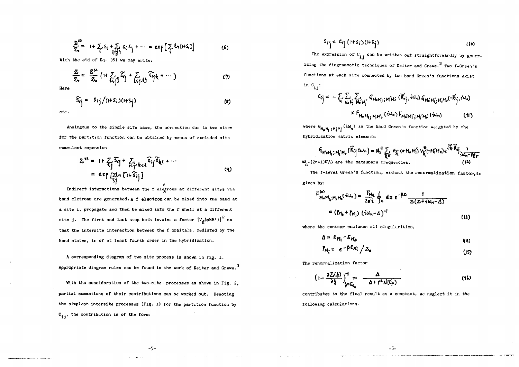$$
\frac{2^{35}}{Z_0} = 1 + \sum_i S_i + \sum_{\{i,j'\}} S_i S_j + \cdots = exp \left[ \sum_i \ln(i+S_i) \right]
$$
 (6)

With the aid of Eq. (6) we may write:

$$
\frac{Z}{Z_s} = \frac{Z^s}{Z_s} \left( 1 + \sum_{\{i,j\}} \widetilde{s_{ij}} + \sum_{\{i,j\}\{i\}} \widetilde{s_{ij}} k + \cdots \right) \qquad (7)
$$

Here

$$
\widehat{s}_{ij} = s_{ij}/(1+s_i)(1+s_j)
$$
 (8)

etc.

Analogous to the single site case, the correction due to two sites for the partition function can be obtained by means of excluded-site cummulent expansion

$$
2^{75} = 1 + \sum_{i \in j} 5_{ij} + \sum_{i \in j < k < l} \widehat{s}_{ij} 5_{k1} + \cdots
$$
  
=  $\exp \left[\sum_{i,j} n \Gamma(1 + 5_{ij})\right]$  (9)

Indirect interactions between the f eletrons at different sites via A band eletrons are generated. A f electron can be mixed into the band at a site i, propagate and then be mixed into the f shell at a different  $B_{\text{max}}$  is the first and last step both involve a factor  $V_{\text{max}}$ that the intersite interaction between the f orbitals, mediated by the band states, is of at least fourth order in the hybridization.

A corresponding diagram of two site process is shown in Fig. 1. Appropriate diagram rules can be found in the work of Keiter and Grewe.<sup>3</sup>

With the consideration of the two-site processes as shown in Fig. 2, partial summations of their contributions can be worked out. Denoting the simplest intersite processes (Fig. 1) for the partition function by  $C_{i+1}$ , the contribution is of the form:

$$
s_{ij} = c_{ij} (1 + s_{i} (1 + s_{j})
$$
 (16)

The expression of  $C_{i,j}$  can be written out straightforwardly by generizing the diagrammatic techniques of Keiter and Grewe.<sup>3</sup> Two f-Green's functions at each site connected by two band Green's functions exist in  $c_{i,i}$ :

$$
c_{ij} = -\sum_{M} \sum_{N_{0}M_{1}} \sum_{N_{1}M_{1}'} q_{M_{0}M_{1}}; m_{i}M_{0}' (\vec{R}_{ij}, i\omega_{n}) q_{M_{0}'M_{1}'}(\vec{R}_{ij}, i\omega_{n})
$$
  

$$
\times F_{M_{0}M_{1}j} m_{i}M_{0} (\vec{r}\omega_{n}) F_{M_{0}'M_{1}'}m_{i}(\vec{r}\omega_{n})
$$
 (11)

where  $G_{M_{\bullet},M_{\bullet},M_{\bullet},M_{\bullet}}(i\omega_n)$  is the band Green's function weighted by the hybridization matrix elements

$$
G_{H_0H_1; H'_1H_0}(\vec{R}_{i\cdot j}^{\dagger} \text{1} \omega_n) = N_3^{\dagger} \sum_{\vec{k}\in \mathcal{K}} V_{\vec{k}} \left( \sigma H_0 H'_1 \right) V_{\vec{k}}^{\dagger} (\sigma H'_1 H_0) e^{i \vec{k} \cdot \vec{R}_{i\cdot j}^{\dagger}} \frac{1}{\gamma \omega_n - \varepsilon_{\vec{k}\cdot n}^2}
$$
  

$$
\omega_n = (2n+1) \pi/8
$$
 are the Matsubara frequencies. (12)

The f-level Green's function, without the renormalization factor.is given by:

$$
{}^{(6)}_{H_0}H_1; H_1H_0({}^{i}\omega_n) = \frac{P_{H_0}}{2\pi i} \oint_C dz e^{-\beta z} \frac{1}{z(z+i\omega_n - \Delta)}
$$
  

$$
= (P_{H_0} + P_{H_1}) (i\omega_n - \Delta)^{-1}
$$
 (13)

where the contour encloses all singularities,

$$
\Delta = E_{H_1} - E_{H_0}
$$
 (14)

$$
P_{M_i} = e^{-\beta E_{M_i}} / Z_o
$$
 (15)

The renormalization factor

$$
\left(1-\frac{2\sum\{3\}}{\lambda_0^2}\right)_{\delta=\mathcal{E}_{\mathbf{Q}_n}}^{-1}=\frac{\Delta}{\Delta+\Gamma^2N(\mathcal{E}_F)}
$$
(16)

contributes to the final result as a constant, we neglect it in the following calculations.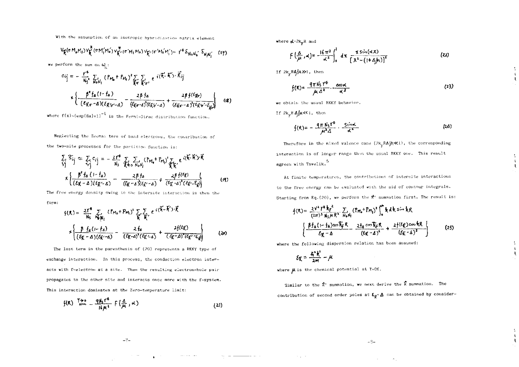With the assumption of an isotropic hybridization matrix element

$$
V_{\overline{K}}(\sigma M_{p}M_{1}) V_{\overline{K}}^{\overline{A}}(\sigma M_{1}^{\prime}M_{p}^{\prime}) V_{\overline{K}^{\prime}}^{\overline{A}}(\sigma^{\prime}M_{1}M_{p}) V_{\overline{K}^{\prime}}^{\prime}(\sigma^{\prime}M_{1}^{\prime}M_{1}^{\prime}) = \Gamma^{4} \delta_{N_{p}N_{p}^{\prime}} \delta_{N_{p}M_{1}^{\prime}} \quad (17)
$$

we perform the sum on  $\omega$ :

$$
c_{ij} = -\frac{r^4}{N_5^2} \sum_{\mathbf{N}_0 \mathbf{N}_1} (P_{\mathbf{M}_0} + P_{\mathbf{M}_1})^2 \sum_{\mathbf{K} \in \mathbf{K}' \mathbf{N}'} e^{-i(\overrightarrow{K} - \overrightarrow{K}') \cdot \overrightarrow{K}_{ij}}
$$
  

$$
\times \left\{ \frac{\beta^4 f_{\mathbf{A}}(1 - f_{\mathbf{A}})}{(\varepsilon_{K\sigma} - 4)(\varepsilon_{K'\sigma' - \mathbf{A}})} - \frac{2\beta f_{\mathbf{A}}}{(\varepsilon_{K\sigma} - 4)'(\varepsilon_{K'\sigma' - \mathbf{A}})} + \frac{2\beta f(\varepsilon_{K\sigma})}{(\varepsilon_{K\sigma} - 4)'(\varepsilon_{K'\sigma' - \varepsilon_{K\sigma}'})} \right\} \qquad (18)
$$

where  $f(x) = (exp(6x)+1)^{-1}$  is the Fermi-Dirac distribution function.

Neglecting the Zeeman term of band electrons, the contribution of the two-site processes for the partition function is:  $\sim$   $\sim$  $\overline{a}$ اقتدار وعبداهما

$$
\sum_{i,j} S'_{ij} \approx \sum_{i,j} c_{ij} = -\frac{\sum f^*}{N_3} \sum_{\xi \neq 0} \sum_{N_0 N_f} (P_{M_0} + P_{M_1})' \sum_{\xi \neq 0} e^{i(\xi - \hat{H})' \cdot \hat{R}}
$$
  

$$
\times \left\{ \frac{\beta^2 f_0 (1 - f_0)}{(\epsilon \xi - \Delta)(\epsilon \xi' - \Delta)} - \frac{\lambda \beta f_0}{(\epsilon \xi - \Delta)(\epsilon \xi' - \Delta)} + \frac{\lambda \beta f(\epsilon \xi)}{(\epsilon \xi - \Delta)^2 (\epsilon \xi' - \epsilon \xi)} \right\}
$$
(19)

The free energy density owing to the intersite interaction is then the

form:

$$
f(R) = \frac{2\Gamma^{4}}{N_{s}} \sum_{\mathbf{N} \in \mathbb{N}_{1}} (P_{H_{0}} + P_{H_{1}})^{2} \sum_{\mathbf{k}} \sum_{\mathbf{k}} e^{-i(\mathbf{k} - \mathbf{k}') \cdot \mathbf{k}}
$$
  
 
$$
\times \left\{ \frac{p f_{d}(1 - f_{d})}{(\mathcal{E}_{\mathbf{k}} - \Delta)(\mathcal{E}_{\mathbf{k}}' - \Delta)} - \frac{2 f_{d}}{(\mathcal{E}_{\mathbf{k}} - \Delta)^{2} (\mathcal{E}_{\mathbf{k}}' - \Delta)} + \frac{2 f(\mathcal{E}_{\mathbf{k}})}{(\mathcal{E}_{\mathbf{k}} - \Delta)^{2} (\mathcal{E}_{\mathbf{k}}' - \mathcal{E}_{\mathbf{k}})} \right\}
$$
(20)

The last term in the parenthesis of (20) represents a RXKY type of exchange interaction. In this process, the conduction electron interacts with f-electron at a site. Then the resulting electron-hole pair propagates to the other site and interacts once more with the f-system. This interaction dominates at the Zero-temperature limit:

$$
f(R) \stackrel{T \ge 0}{\longrightarrow} - \frac{q \mu_1 r^4}{\mu_1 \mu^3} F\left(\frac{A}{\mu_1}, \kappa\right) \tag{21}
$$

 $\label{eq:2.1} \mathcal{L}(\mathcal{F})=\mathcal{L}(\mathcal{F})\quad \text{and} \quad \mathcal{L}(\mathcal{F})=\mathcal{L}(\mathcal{F})\quad \text{and} \quad \mathcal{L}(\mathcal{F})=\mathcal{L}(\mathcal{F})\quad \text{and} \quad \mathcal{L}(\mathcal{F})=\mathcal{L}(\mathcal{F})\quad \text{and} \quad \mathcal{L}(\mathcal{F})=\mathcal{L}(\mathcal{F})\quad \text{and} \quad \mathcal{L}(\mathcal{F})=\mathcal{L}(\mathcal{F})\quad \text{and} \quad \mathcal{L}(\mathcal{F})=\$ 

 $\frac{1}{2} \left( \frac{1}{2} \left( \frac{1}{2} \left( \frac{1}{2} \left( \frac{1}{2} \left( \frac{1}{2} \left( \frac{1}{2} \right) \right) - \frac{1}{2} \left( \frac{1}{2} \left( \frac{1}{2} \right) \right) \right) \right) \right) - \frac{1}{2} \left( \frac{1}{2} \left( \frac{1}{2} \left( \frac{1}{2} \left( \frac{1}{2} \right) - \frac{1}{2} \left( \frac{1}{2} \right) \right) \right) \right)$ 

where  $\mathsf{d}$ -2 $\mathsf{k}_\mathsf{F}$ R and

$$
f\left(\frac{\Delta}{\mu},\alpha\right) = \frac{16\pi^3}{\alpha^2}\int_0^1 d\alpha \frac{\alpha \sin(\alpha \alpha)}{\left[\alpha^2 - (1 + 4/\mu)\right]^2}
$$
 (22)

If  $2k_{\rm F}R\Delta/\mu\gg 1$ , then

$$
f(\vec{x}) = \frac{q \pi \mu_s r^4}{\mu a^2} \cdot \frac{c \cos \alpha}{\alpha^3} \tag{23}
$$

we obtain the usual RKKY behavior.

If 
$$
2k_{F}R \Delta/\mu \ll 1
$$
, then

$$
f(R) = -\frac{4 \pi N_S Y^4}{\mu^2 \Delta} - \frac{S I^2 R}{\alpha^2}
$$
 (2A)

 $\mathbf{I}$ 

 $\ddot{\phantom{1}}$  $\mathbf{I}$ 

Therefore in the mixed valence case  $(2k_{\rm g}BA/(n\ll 1))$ , the corresponding interaction is of longer range then the usual RKKY one. This result agrees with Tsvelik.<sup>5</sup>

At finite temperatures, the contributions of intersite interactions to the free energy can be evaluated with the aid of contour integrals. Starting from Eq. (20), we perform the  $\vec{R}$  summation first. The result is:

$$
f(R) = \frac{2V^2 \gamma^6 k_E^2}{(2\pi)^3 k_S \mu R^2} \sum_{N_0, N_1} (P_{M_0} + P_{M_1})^2 \int_0^{\infty} k dk \sin kR
$$
  

$$
\left\{ \frac{\beta f_A (1 - f_A) \cos \bar{k}_F R}{\mathcal{E}_K - \Delta} - \frac{2 f_A \cos \bar{k}_F R}{(\mathcal{E}_K - \Delta)^2} + \frac{2 f(\mathcal{E}_K) \cos kR}{(\mathcal{E}_K - \Delta)^2} \right\}
$$
(25)

where the following dispersion relation has been assumed:

$$
\mathcal{E}_{\vec{k}} = \frac{h^2 k^2}{2m} - \mu
$$

 $\alpha$  ,  $\beta$  ,  $\alpha$  ,  $\beta$  ,  $\alpha$ 

where  $\mu$  is the chemical potential at T=OK.

Similar to the  $\vec{k}$ ' summation, we next derive the  $\vec{k}$  summation. The contribution of second order poles at  $\mathbf{\xi}_{\xi} = \mathbf{\Delta}$  can be obtained by consider-

**Contract**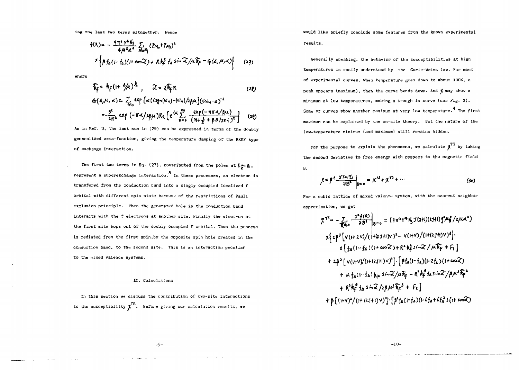ing the last two terms altogether. Hence

$$
f(R) = -\frac{q\pi^2 \gamma^4 M_S}{4\mu^2 \kappa^2} \sum_{N_0 N_j} (P_{M_0} + P_{M_j})^2
$$
  

$$
= \frac{x \left\{ \beta f_{\alpha} (1 - f_{\alpha}) (1 + \cos 2) + R k_F^2 f_{\alpha} \sin 2 \pi / \mu \hat{k}_F - G(d, \mu, \kappa) \right\} }{(2\pi)}
$$

where

$$
\mathcal{F}_{F} = \frac{k}{2\pi} (1 + \frac{4}{\pi})^{\frac{1}{2}}, \qquad \mathcal{X} = 2\mathcal{F}_{F}R
$$
\n(28)  
\n
$$
G(a_{1}\mu, \mu) \approx \sum_{\omega_{n}} exp\left[\kappa(\text{sign}(\omega_{n}) - |\omega_{n}|/2\beta\mu\right] (\text{i}\omega_{n} - \Delta)^{-2}
$$
\n
$$
= -\frac{\beta^{2}}{2\pi^{2}} exp\left(-\pi\alpha/\mu\mu\right) Re\left(e^{\text{i}\alpha} \sum_{n=0}^{\infty} \frac{exp(-n\pi\alpha/\beta\mu)}{(n+\frac{1}{2} + \beta\alpha/\pi\tau)^{2}}\right) (29)
$$

As in Ref. 3, the last sum in  $(29)$  can be expressed in terms of the doubly generalized zeta-function, giving the temperature damping of the RKKY type of exchange interaction.

The first two terms in Eq. (27), contributed from the poles at  $\mathbf{\xi}_{\mathbf{r}} \geq \mathbf{\Delta}$ , represent a superexchange interaction. In these processes, an electron is transfered from the conduction band into a singly occupied localized f orbital with different spin state because of the restrictions of Pauli exclusion principle. Then the generated hole in the conduction band interacts with the f electrons at another site. Finally the electron at the first site hops out of the doubly occupied f orbital. Thus the process is mediated from the first spin,by the opposite spin hole created in the conduction band, to the second site. This is an interaction peculiar to the mixed valence systems.

#### In, Calculations

In this section we discuss the contribution of two-site interactions to the susceptibility  $\chi^\mathrm{TS}.$  . Before giving our calculation results, we .

would like briefly conclude some features from the known experimental results.

Generally speaking, the behavior of the susceptibilities at high temperatures is easily understood by the Curie-Weiss law. For most of experimental curves, when temperature goes down to about 100K, a peak appears (maximum), then the curve bends down. And  $\sharp$  may show a minimum at low temperatures, making a trough in curve (see Fig. 3) . 4 Some of curves show another maximum at very low temperature. The first maximum can be explained by the on-site theory. But the nature of the low—temperature minimum (and maximum) still remains hidden.

For the purpose to explain the phenomena, we calculate  $\chi^{\text{TS}}$  by taking the second deriative to free energy with respect to the magnetic field  $B<sub>z</sub>$ 

$$
\chi = \beta^{-1} \cdot \frac{3^3 \ln 7}{3 \beta^4} \bigg|_{\beta = 0} = \chi^{55} + \chi^{75} + \cdots
$$
 (30)

For a cubic lattice of mixed valence system, with the nearest neighbor approximation, we get

$$
\chi^{TS} = -\sum_{\vec{k}\in\sigma} \frac{\partial^{2} f(R)}{\partial B^{2}}|_{B=0} = (4\pi^{2}Y^{4}N_{3}J(JH)(2JH))\hat{J}^{2}\mu_{B}^{2}/2\mu\alpha^{2})
$$
\n
$$
x\left\{2\beta^{3}[V(H+2V)/(H+2JH)V)^{2} - V(H+V)/(H(2JH)V)^{3}]\right\}.
$$
\n
$$
x\left\{f_{a}(1-f_{a})(1+cos\vec{x})+R^{a}k_{\vec{p}}^{2}sin\vec{x}/\mu_{\vec{q}}^{2}f_{\vec{q}} + F_{1}\right\}
$$
\n
$$
+ 2\beta^{2}[V(H+V)/(H(2JH)V)^{3}]\cdot\left[\beta f_{a}(1-f_{a})(1-2f_{a})(1+cos\vec{x})\right]
$$
\n
$$
+ \alpha f_{a}(1-f_{a})k_{\vec{p}}sin\vec{x}/\mu_{\vec{q}}^{2}f_{\vec{p}} - R^{a}k_{\vec{p}}^{2}f_{a}sin\vec{x}/\beta\mu^{2}k_{\vec{p}}^{2} + R^{a}k_{\vec{p}}^{2}f_{a}sin\vec{x}/2\beta\mu^{3}k_{\vec{p}}^{3} + F_{2}\right]
$$
\n
$$
+ B\left\{ (H+V)^{2}/(H+2JH)V)^{3}\right\} \cdot \left\{ \beta^{4}f_{a}(1-f_{a})(1-f_{a}+6f_{a}^{2}) (1+cos\vec{x}) \right\}
$$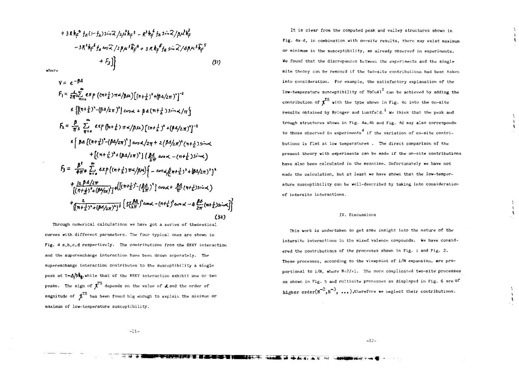$$
+3Rk_{F}^{a} f_{a}(1-f_{a})sin\overline{\alpha}/2\mu^{2}k_{F}^{3}-R^{3}k_{F}^{6} f_{a}sin\overline{\alpha}/\beta\mu^{2}k_{F}^{2}
$$
  

$$
-3R^{2}k_{F}^{6} f_{a} cos\overline{\alpha}/2\beta\mu^{3}k_{F}^{a}+3Rk_{F}^{6} f_{a} sin\overline{\alpha}/4\beta\mu^{3}k_{F}^{5}
$$
  

$$
+F_{3}\right]
$$
(31)

where

$$
V = e^{-\beta A}
$$
  
\n
$$
F_1 = \frac{1}{2\pi^2 \sum_{n=0}^{\infty} exp \left( (n + \frac{1}{2}) \pi \alpha / \beta \mu \right) \left[ (n + \frac{1}{2})^2 + (\beta \alpha / 2\pi)^2 \right]^{-2}
$$
  
\n
$$
\times \left\{ \left[ (n + \frac{1}{2})^2 - (\beta \alpha / 2\pi)^2 \right] cos \alpha + \beta \alpha (n + \frac{1}{2}) sin^2 \alpha / \pi \right\}
$$
  
\n
$$
F_2 = \frac{\beta}{\pi} \sum_{n=0}^{\infty} exp \left( (n + \frac{1}{2}) \pi \alpha / \beta \mu \right) \left[ (n + \frac{1}{2})^2 + (\beta \alpha / 2\pi)^2 \right]^{-3}
$$
  
\n
$$
\times \left\{ \beta a \left[ (n + \frac{1}{2})^2 - (\beta \alpha / 2\pi)^2 \right] cos \alpha / 2\pi + 2 (\beta \alpha / 2\pi)^2 (n + \frac{1}{2}) sin \alpha \right\}
$$
  
\n
$$
+ \left[ (n + \frac{1}{2})^2 + (\beta \alpha / 2\pi)^2 \right] \left( \frac{\beta d}{2\pi} cos \alpha - (n + \frac{1}{2}) sin \alpha \right)
$$
  
\n
$$
F_3 = \frac{\beta^2}{4\pi^2 \theta} \sum_{n=0}^{\infty} exp \left( (n + \frac{1}{2}) \pi \alpha / \beta \mu \right) \left\{ - cos \alpha / (n + \frac{1}{2})^2 + (\beta \alpha / 2\pi)^2 \right\}^2
$$
  
\n
$$
+ \frac{12 \beta^2 / 2\pi}{((n + \frac{1}{2})^2 + (\beta \alpha / \pi)^2)^2} \left( \frac{[(n + \frac{1}{2})^2 - (\frac{\beta \alpha}{2\pi})^2]}{cos \alpha + \frac{\beta \alpha}{\pi} (n + \frac{1}{2})^2 + \beta \alpha / 2\pi} \right)
$$
  
\n
$$
+ \frac{2}{((n + \frac{1}{2})^2 + (\beta \alpha / 2\pi)^2)^3} \left\{ 5(\frac{\beta \alpha}{2\pi})^2 cos \alpha - (n + \frac{1}{2})^2 cos \alpha - 4 \frac{\
$$

Through numerical calculations we have got a series of theoretical curves with different parameters. The four typical ones are shown in Fig. 4 a,b,c,d respectively. The contributions from the RKKY interaction and the superexchange interaction have been drawn seperately. The superexchange interaction contributes to the susceptibility a single peak at  $T \sim \Delta/3 \frac{1}{N_c}$ , while that of the RKKY interaction exhibit one or two peaks. The sign of  $\texttt{\^{TS}}$  depends on the value of  $\texttt{\^{d}}$  and the order of magnitude of  $\chi^{\rm TS}$  has been found big enough to explain the minimum or maximum of low-temperature susceptibility.

lt is clear from the computed peak and valley structures shown in Fig. 4a-d, in combination with on-site results, there may exist maximum or minimum in the susceptibility, as already observed in experiments. We found that the discrepances between the experiments and the single site theory can be removed if the two-site contributions had been taken into consideration. For example, the satisfactory explanation of the low-temperature susceptibility of YbCuAl<sup>1</sup> can be achieved by adding the contribution of  $\textstyle{\chi^\text{TS}}$  with the type shown in Fig. 4c into the on-site results obtained by Bringer and Lustfeld.<sup>1</sup> We think that the peak and trough structures shown in Fig. 4a,4b and Fig. 4d may also corresponds to those observed in experiments<sup>4</sup> if the variation of on-site contributions is flat at low temperatures. The direct comparison of the present theory with experiments can be made if the on-site contributions have also been calculated in the meantime. Unfortunately we have not made the calculation, but at least we have shown that the low-temperature susceptibility can be well-described by taking into consideration ature susceptibility can be well-described by taking into consideration into consideration into consideration

#### IV. Discussions

This work is undertaken to get some insight into the nature of the intersite interactions in the mixed valence compounds. We have considered the contributions of the processes shown in Fig. 1 and Fig. 2. These processes, according to the viewpoint of 1/N expansion, are proportional to 1/N, where M=2J+1. The more complicated two-site processes as shown in Fig. 5 and multisite processes as displayed in Fig. 6 are of higher order( $N^{-2}$ , $N^{-3}$ , ...), therefore we neglect their contributions.

-li-

 $-12-$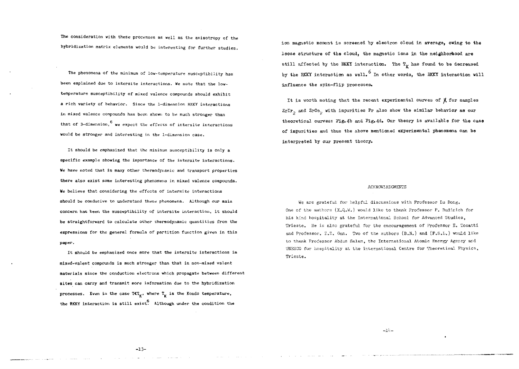**The consideration with these processes as well as** the **anisotropy<sup>o</sup> f the** hybridization matrix elements would be interesting for further studies.

The phenomena of the minimum of low-temperature susceptibility has been explained due to intersite interactions. We note that the lowtemperature susceptibility of mixed valence compounds should exhibit a rich variety of behavior. Since the 1-dimension RKKY interactions in mixed valence compounds has been shown to be much stronger than that of 3-dimension, we expect the effects of intersite interactions would be stronger and interesting in the 1-dimension case.

It should be emphasized that the minimum susceptibility is only a specific example showing the importance of the intersite interactions, We have noted that in many other thermodynamic and transport properties there also exist some interesting phenomena in mixed valence compounds. We believe that considering the effects of intersite interactions should be conducive to understand these phenomena. Although our main concern has been the susceptibility of intersite interaction, it should be straightforward to calculate other thermodynamic quantities from the expressions for the general formula of partition function given in this paper.

It should be emphasized once more that the intersite interactions in mixed-valent compounds is much stronger than that in non-mixed valent materials since the conduction electrons which propagate between different sites can carry and transmit more information due to the hybridization processes. Even in the case  $T_{\mathbf{Y}}$ , where  $T_{\mathbf{Y}}$  is the Kondo temperature, the RKKY interaction is still exist. Although under the condition the

**ion magnetic moment is screened by electron cloud in average, owing to the loose structure of the cloud, the magnetic ions in the neighborhood are** still affected by the RKKY interaction. The  $T_V$  has found to be decreased by the RKKY interaction as well. <sup>6</sup> In other words, the RKKY interaction will **influence the spin-flip processes.**

It is worth noting that the recent experimental curves of  $\chi$  for samples  $ZrIr_2$  and  $ZrOs_2$  with impurities Pr also show the similar behavior as our **theoretical curves! Fig. 4b and Fig. 4d, Our theory is available for the case of impurities and thus the above mentioned experimental phenomena can be interpreted by our present theory.**

#### ACKNOWI.fi I) GMENTS

We are grateful for helpful discussions with Professor Lu Dong. One of the authors  $(X, Q, W)$  would like to thank Professor P. Budinich for his kind hospitality at the International School for Advanced Studies, Trieste. He is also grateful for the encouragement of Professor E. Tosatti and Professor. Z.Z. Gan. Two of the authors (B.N.) **and** (F.S.L.) would like to thank Professor Abdus Salam, the International Atomic Energy Agency and OHESCO for hospitality at the International Centre for Theoretical Physics, Trieste.

 $-11-$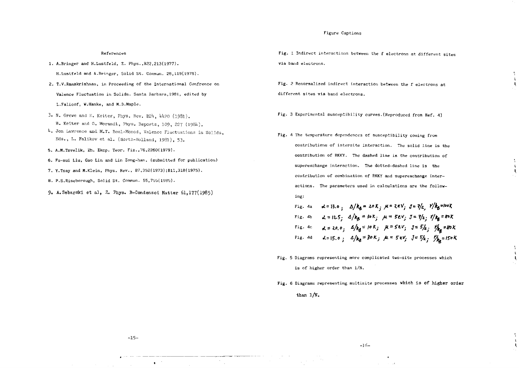#### Figure Captions

References

- 1. A.Bringer and H.Lustfeld, Z. Phys.,822,213(1977}. H.Lustfeld and A.Bringer, Solid St. Commun. 28,119(1978).
- 2. T.V.Ramakrishnan, in Proceeding of the International Confrence on Valence Fluctuation in Solids. Santa Barbara,1981, edited by L.Falicof, W.Hanke, and M.B.Maple.
- 3. N. Greve and H. Keiter, Phys. Rev. B2I4, *hk20* (1981), H. Keiter and G. Morandi, Phys. Reports, 109, 227 (1984).
- *h.* Jon Lawrence and M.T. Beal-Monod, Valence Fluctuations in Solids Eds., L. Falikov et al. (North-Holland, 1981), 53.
- 5. A.M.Tsvelik, Zh. Ekcp. Teor. Fiz.,76,2260(1979).
- 6. Fu-sui Liu, Gao Lin and Lin Zong-han, (submitted for publication)
- 7. Y.Tsay and M.Klein, Phys. Rev., B7,352(1973);Bll,318(1975).
- 8. P.S.Riseborough, Solid St. Commun. 55,755(1985).
- 9. A.Setarski et al, Z. Phys. B-Condensed Matter 61,177(1985)

Fig. 1 Indirect interactions between the f electrons at different sites via band electrons.

Fig. 2 Henormalized indirect interaction between the f electrons at different sites via band electrons.

Fig. 3 Experimental susceptibility curves.(Reproduced from Ref. 4)

Fig. 4 The temperature dependences of susceptibility coming from contributions of intersite interaction. The solid line is the contribution of RKKY. The dashed line is the contribution of superexchange interaction. The dotted-dashed line is the contribution of combination of RKKY and superexchange interactions. The parameters used in calculations are the following:

 $\mathbf{I}_i$  $\Lambda$ 

Fig. 4a 
$$
k = 13.0
$$
;  $\Delta/k_B = 20K_j$   $\mu = 2eV_j$   $J = 7/z$ ,  $1/k_B = 100K$   
Fig. 4b  $k = 12.5$ ;  $\Delta/k_B = 30K_j$   $\mu = 5eV_j$   $J = 7/z_j$   $1/k_B = 30K$   
Fig. 4c  $k = 20.0$ ;  $\Delta/k_B = 10K_j$   $\mu = 5eV_j$   $J = 5/z_j$   $\frac{1}{2}k_B = 30K$   
Fig. 4d  $k = 15.0$   $j$   $\Delta/k_B = 30K_j$   $\mu = 5eV_j$   $J = 5/z_j$   $\frac{1}{2}k_B = 150K$ 

- Fig. 5 Diagrams representing more complicated two-site processes which is of higher order than l/N.
- **Fig.** 6 Diagrams representing multisite processes which is **of higher order** than  $1/N$ .

 $\bullet$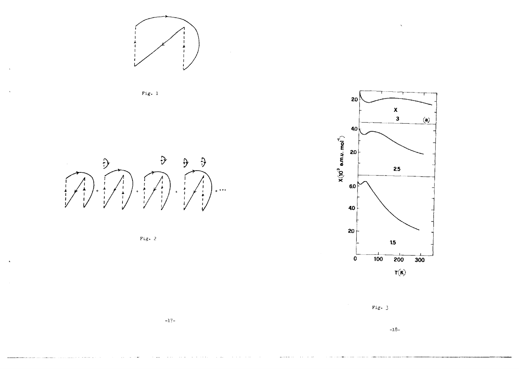



 $\bar{A}$ 

 $\Delta$ 

 $\mathbf{z}$ 







 $\infty$ 





**-17 -**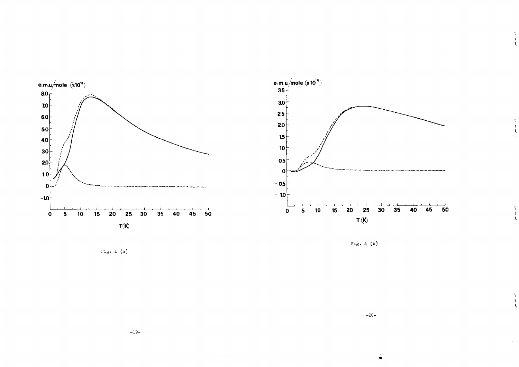

 $Fig. 4(a)$ 



 $\frac{1}{2}$ Å

 $\Lambda$  .

 $\frac{3}{4}$ 

 $\mathcal{V}$ 

 $\frac{3}{4}$ 

A.  $\frac{4}{3}$ 

 $\frac{1}{50}$ 

 $-19-$ 

 $-20-$ 

 $\blacksquare$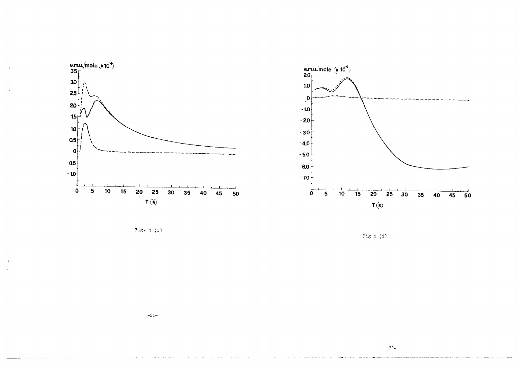

Fig. 4 (c)

 $\sim$ 

 $\bar{z}$ 

Fig 4 (d)